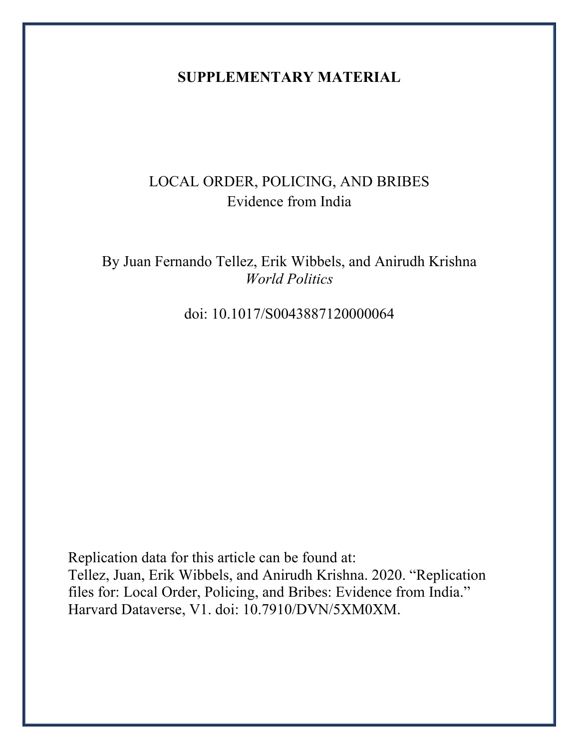## **SUPPLEMENTARY MATERIAL**

# LOCAL ORDER, POLICING, AND BRIBES Evidence from India

By Juan Fernando Tellez, Erik Wibbels, and Anirudh Krishna *World Politics*

doi: 10.1017/S0043887120000064

Replication data for this article can be found at: Tellez, Juan, Erik Wibbels, and Anirudh Krishna. 2020. "Replication files for: Local Order, Policing, and Bribes: Evidence from India." Harvard Dataverse, V1. doi: 10.7910/DVN/5XM0XM.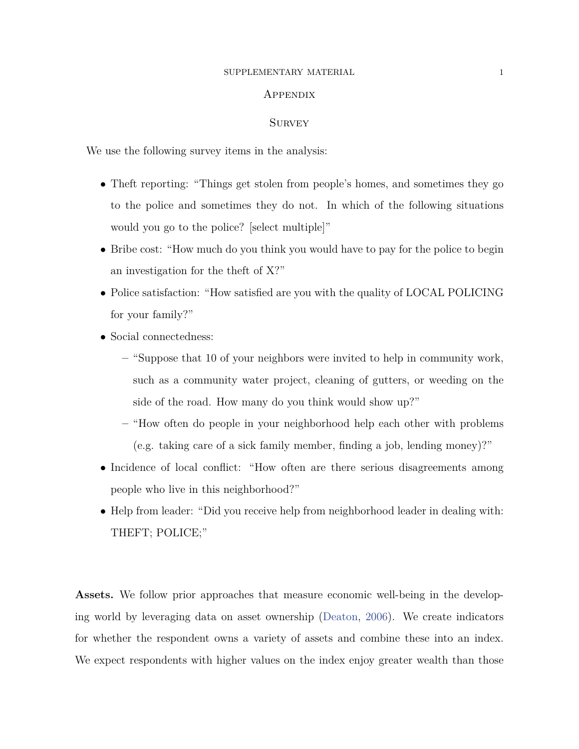#### SUPPLEMENTARY MATERIAL 1

#### **APPENDIX**

#### **SURVEY**

We use the following survey items in the analysis:

- Theft reporting: "Things get stolen from people's homes, and sometimes they go to the police and sometimes they do not. In which of the following situations would you go to the police? [select multiple]"
- Bribe cost: "How much do you think you would have to pay for the police to begin an investigation for the theft of X?"
- Police satisfaction: "How satisfied are you with the quality of LOCAL POLICING for your family?"
- *•* Social connectedness:
	- **–** "Suppose that 10 of your neighbors were invited to help in community work, such as a community water project, cleaning of gutters, or weeding on the side of the road. How many do you think would show up?"
	- **–** "How often do people in your neighborhood help each other with problems (e.g. taking care of a sick family member, finding a job, lending money)?"
- Incidence of local conflict: "How often are there serious disagreements among people who live in this neighborhood?"
- Help from leader: "Did you receive help from neighborhood leader in dealing with: THEFT; POLICE;"

**Assets.** We follow prior approaches that measure economic well-being in the developing world by leveraging data on asset ownership ([Deaton,](#page-11-0) [2006](#page-11-0)). We create indicators for whether the respondent owns a variety of assets and combine these into an index. We expect respondents with higher values on the index enjoy greater wealth than those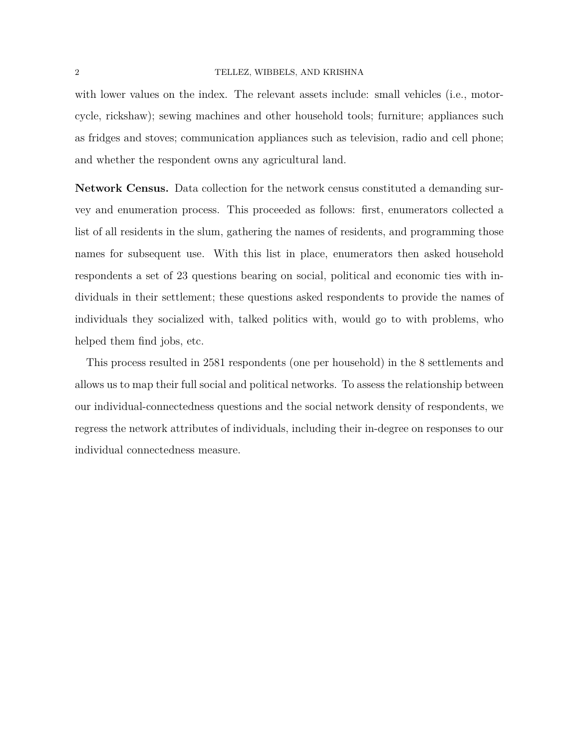#### 2 TELLEZ, WIBBELS, AND KRISHNA

with lower values on the index. The relevant assets include: small vehicles (i.e., motorcycle, rickshaw); sewing machines and other household tools; furniture; appliances such as fridges and stoves; communication appliances such as television, radio and cell phone; and whether the respondent owns any agricultural land.

**Network Census.** Data collection for the network census constituted a demanding survey and enumeration process. This proceeded as follows: first, enumerators collected a list of all residents in the slum, gathering the names of residents, and programming those names for subsequent use. With this list in place, enumerators then asked household respondents a set of 23 questions bearing on social, political and economic ties with individuals in their settlement; these questions asked respondents to provide the names of individuals they socialized with, talked politics with, would go to with problems, who helped them find jobs, etc.

This process resulted in 2581 respondents (one per household) in the 8 settlements and allows us to map their full social and political networks. To assess the relationship between our individual-connectedness questions and the social network density of respondents, we regress the network attributes of individuals, including their in-degree on responses to our individual connectedness measure.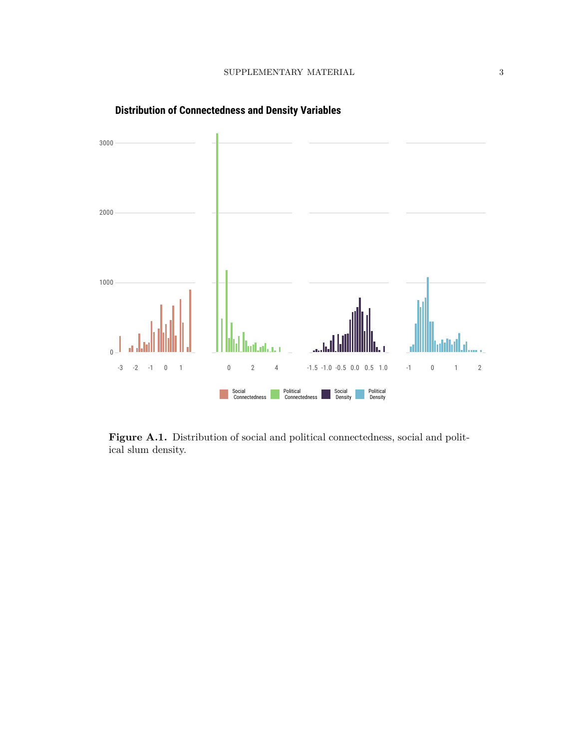

**Distribution of Connectedness and Density Variables**

Figure A.1. Distribution of social and political connectedness, social and political slum density.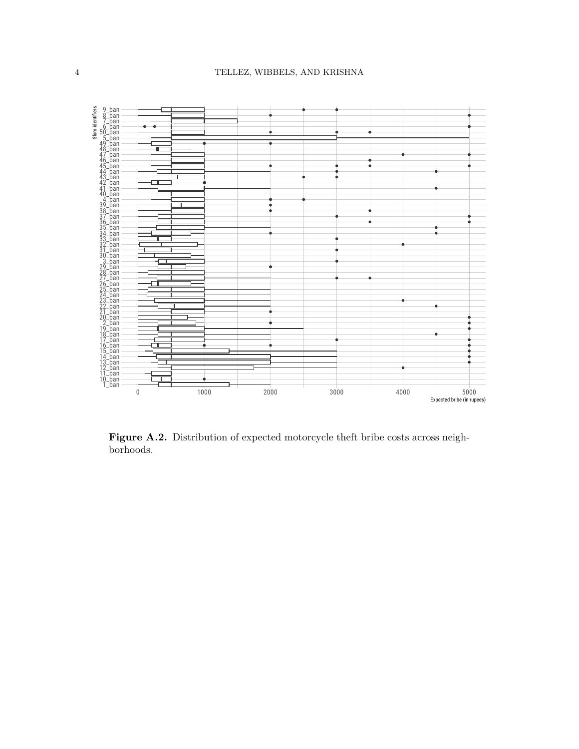

Figure A.2. Distribution of expected motorcycle theft bribe costs across neighborhoods.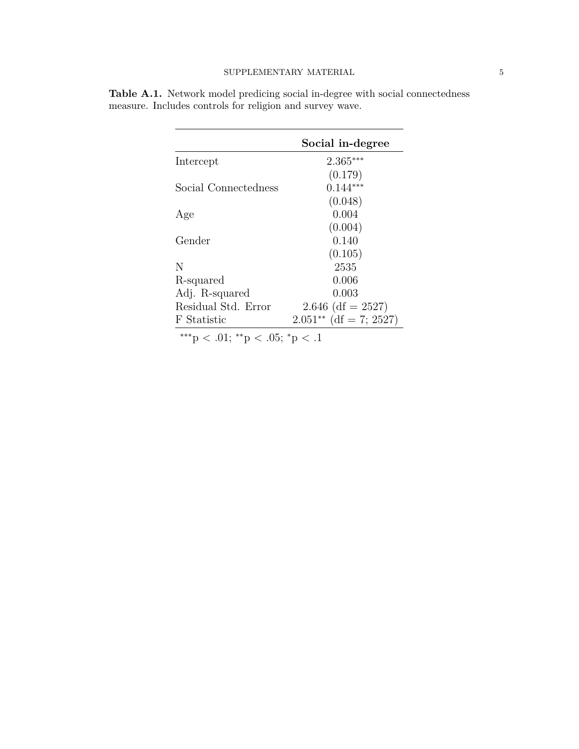| Social in-degree         |
|--------------------------|
| $2.365***$               |
| (0.179)                  |
| $0.144***$               |
| (0.048)                  |
| 0.004                    |
| (0.004)                  |
| 0.140                    |
| (0.105)                  |
| 2535                     |
| 0.006                    |
| 0.003                    |
| $2.646$ (df = 2527)      |
| $2.051**$ (df = 7; 2527) |
|                          |

**Table A.1.** Network model predicing social in-degree with social connectedness measure. Includes controls for religion and survey wave.

*∗∗∗*p *<* .01; *∗∗*p *<* .05; *<sup>∗</sup>*p *<* .1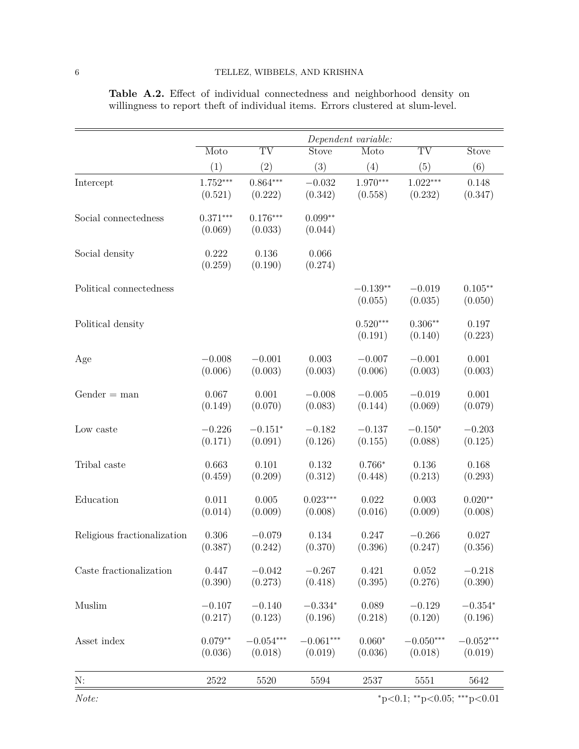|                             |                       |                        |                      | Dependent variable:   |                        |                      |
|-----------------------------|-----------------------|------------------------|----------------------|-----------------------|------------------------|----------------------|
|                             | Moto                  | $\overline{\text{TV}}$ | Stove                | Moto                  | $\overline{\text{TV}}$ | <b>Stove</b>         |
|                             | (1)                   | (2)                    | (3)                  | (4)                   | (5)                    | (6)                  |
| Intercept                   | $1.752***$            | $0.864***$             | $-0.032$             | $1.970***$            | $1.022***$             | 0.148                |
|                             | (0.521)               | (0.222)                | (0.342)              | (0.558)               | (0.232)                | (0.347)              |
| Social connectedness        | $0.371***$<br>(0.069) | $0.176***$<br>(0.033)  | $0.099**$<br>(0.044) |                       |                        |                      |
| Social density              | 0.222<br>(0.259)      | 0.136<br>(0.190)       | 0.066<br>(0.274)     |                       |                        |                      |
| Political connectedness     |                       |                        |                      | $-0.139**$<br>(0.055) | $-0.019$<br>(0.035)    | $0.105**$<br>(0.050) |
| Political density           |                       |                        |                      | $0.520***$<br>(0.191) | $0.306**$<br>(0.140)   | 0.197<br>(0.223)     |
| Age                         | $-0.008$              | $-0.001$               | 0.003                | $-0.007$              | $-0.001$               | 0.001                |
|                             | (0.006)               | (0.003)                | (0.003)              | (0.006)               | (0.003)                | (0.003)              |
| $Gender = man$              | 0.067                 | 0.001                  | $-0.008$             | $-0.005$              | $-0.019$               | 0.001                |
|                             | (0.149)               | (0.070)                | (0.083)              | (0.144)               | (0.069)                | (0.079)              |
| Low caste                   | $-0.226$              | $-0.151*$              | $-0.182$             | $-0.137$              | $-0.150*$              | $-0.203$             |
|                             | (0.171)               | (0.091)                | (0.126)              | (0.155)               | (0.088)                | (0.125)              |
| Tribal caste                | 0.663                 | 0.101                  | 0.132                | $0.766*$              | 0.136                  | 0.168                |
|                             | (0.459)               | (0.209)                | (0.312)              | (0.448)               | (0.213)                | (0.293)              |
| Education                   | 0.011                 | 0.005                  | $0.023***$           | 0.022                 | 0.003                  | $0.020**$            |
|                             | (0.014)               | (0.009)                | (0.008)              | (0.016)               | (0.009)                | (0.008)              |
| Religious fractionalization | 0.306                 | $-0.079$               | 0.134                | 0.247                 | $-0.266$               | 0.027                |
|                             | (0.387)               | (0.242)                | (0.370)              | (0.396)               | (0.247)                | (0.356)              |
| Caste fractionalization     | 0.447                 | $-0.042$               | $-0.267$             | 0.421                 | 0.052                  | $-0.218$             |
|                             | (0.390)               | (0.273)                | (0.418)              | (0.395)               | (0.276)                | (0.390)              |
| Muslim                      | $-0.107$              | $-0.140$               | $-0.334*$            | 0.089                 | $-0.129$               | $-0.354*$            |
|                             | (0.217)               | (0.123)                | (0.196)              | (0.218)               | (0.120)                | (0.196)              |
| Asset index                 | $0.079**$             | $-0.054***$            | $-0.061***$          | $0.060*$              | $-0.050***$            | $-0.052***$          |
|                             | (0.036)               | (0.018)                | (0.019)              | (0.036)               | (0.018)                | (0.019)              |
| N:                          | 2522                  | 5520                   | 5594                 | 2537                  | 5551                   | 5642                 |

Table A.2. Effect of individual connectedness and neighborhood density on willingness to report theft of individual items. Errors clustered at slum-level.

*Note: <sup>∗</sup>*p*<*0.1; *∗∗*p*<*0.05; *∗∗∗*p*<*0.01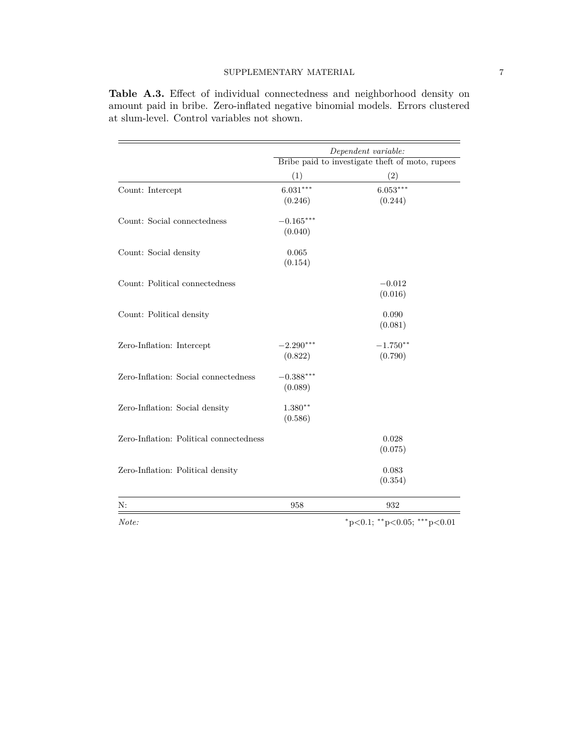|                                         | Dependent variable:<br>Bribe paid to investigate theft of moto, rupees |                                         |  |
|-----------------------------------------|------------------------------------------------------------------------|-----------------------------------------|--|
|                                         |                                                                        |                                         |  |
|                                         | (1)                                                                    | (2)                                     |  |
| Count: Intercept                        | $6.031***$                                                             | $6.053***$                              |  |
|                                         | (0.246)                                                                | (0.244)                                 |  |
| Count: Social connectedness             | $-0.165***$                                                            |                                         |  |
|                                         | (0.040)                                                                |                                         |  |
| Count: Social density                   | 0.065                                                                  |                                         |  |
|                                         | (0.154)                                                                |                                         |  |
| Count: Political connectedness          |                                                                        | $-0.012$                                |  |
|                                         |                                                                        | (0.016)                                 |  |
| Count: Political density                |                                                                        | 0.090                                   |  |
|                                         |                                                                        | (0.081)                                 |  |
| Zero-Inflation: Intercept               | $-2.290***$                                                            | $-1.750**$                              |  |
|                                         | (0.822)                                                                | (0.790)                                 |  |
| Zero-Inflation: Social connectedness    | $-0.388***$                                                            |                                         |  |
|                                         | (0.089)                                                                |                                         |  |
| Zero-Inflation: Social density          | $1.380**$                                                              |                                         |  |
|                                         | (0.586)                                                                |                                         |  |
| Zero-Inflation: Political connectedness |                                                                        | 0.028                                   |  |
|                                         |                                                                        | (0.075)                                 |  |
| Zero-Inflation: Political density       |                                                                        | 0.083                                   |  |
|                                         |                                                                        | (0.354)                                 |  |
| N:                                      | 958                                                                    | 932                                     |  |
| Note:                                   |                                                                        | $*_{p<0.1;}$ $*_{p<0.05;}$ $*_{p<0.01}$ |  |

Table A.3. Effect of individual connectedness and neighborhood density on amount paid in bribe. Zero-inflated negative binomial models. Errors clustered at slum-level. Control variables not shown.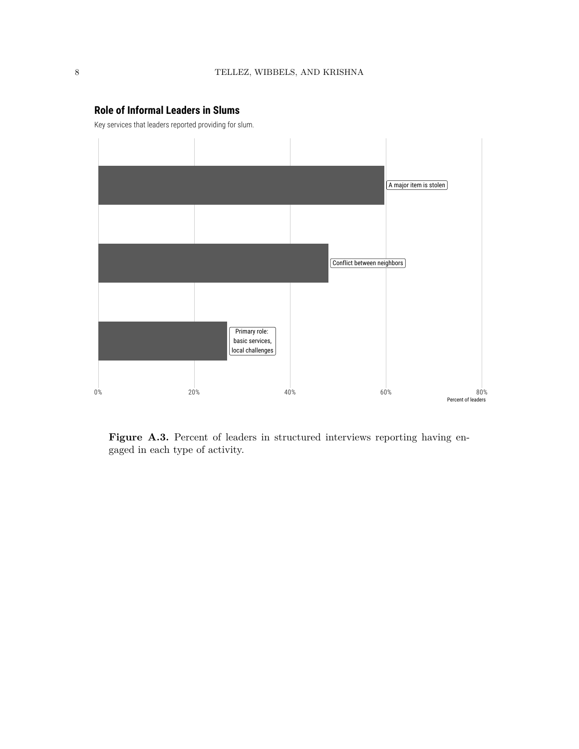

### **Role of Informal Leaders in Slums**

Key services that leaders reported providing for slum.

Figure A.3. Percent of leaders in structured interviews reporting having engaged in each type of activity.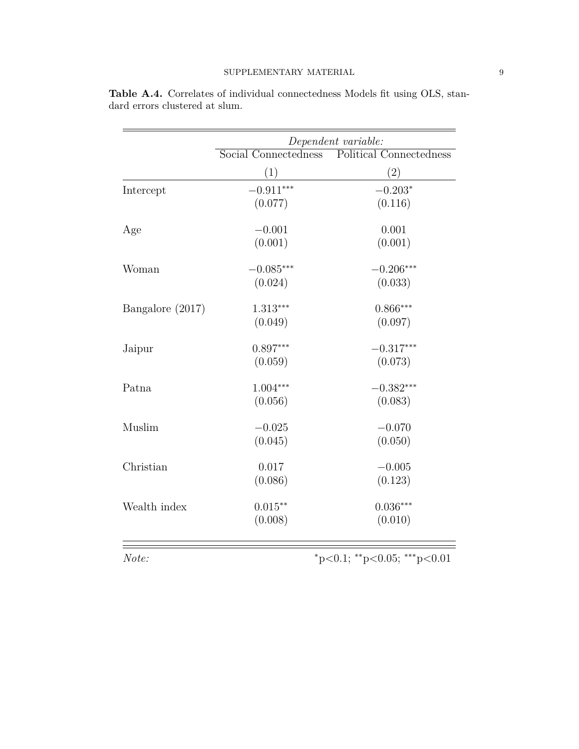|                  | Dependent variable:  |                                |  |
|------------------|----------------------|--------------------------------|--|
|                  | Social Connectedness | <b>Political Connectedness</b> |  |
|                  | (1)                  | (2)                            |  |
| Intercept        | $-0.911***$          | $-0.203*$                      |  |
|                  | (0.077)              | (0.116)                        |  |
| Age              | $-0.001$             | 0.001                          |  |
|                  | (0.001)              | (0.001)                        |  |
| Woman            | $-0.085***$          | $-0.206***$                    |  |
|                  | (0.024)              | (0.033)                        |  |
| Bangalore (2017) | $1.313***$           | $0.866***$                     |  |
|                  | (0.049)              | (0.097)                        |  |
| Jaipur           | $0.897***$           | $-0.317***$                    |  |
|                  | (0.059)              | (0.073)                        |  |
| Patna            | $1.004***$           | $-0.382***$                    |  |
|                  | (0.056)              | (0.083)                        |  |
| Muslim           | $-0.025$             | $-0.070$                       |  |
|                  | (0.045)              | (0.050)                        |  |
| Christian        | 0.017                | $-0.005$                       |  |
|                  | (0.086)              | (0.123)                        |  |
| Wealth index     | $0.015**$            | $0.036***$                     |  |
|                  | (0.008)              | (0.010)                        |  |
| Note:            |                      | *p<0.1; **p<0.05; ***p<0.01    |  |

|                                |  | <b>Table A.4.</b> Correlates of individual connectedness Models fit using OLS, stan- |  |  |
|--------------------------------|--|--------------------------------------------------------------------------------------|--|--|
| dard errors clustered at slum. |  |                                                                                      |  |  |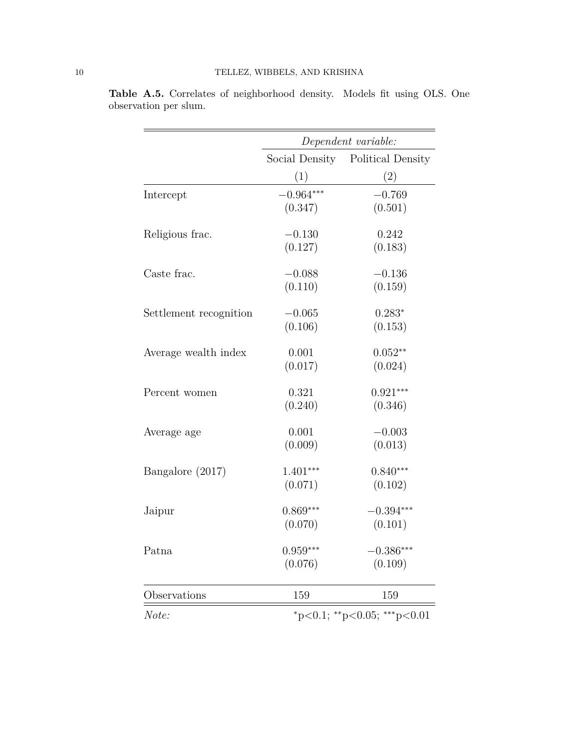|                        | Dependent variable:         |                   |  |
|------------------------|-----------------------------|-------------------|--|
|                        | Social Density              | Political Density |  |
|                        | (1)                         | (2)               |  |
| Intercept              | $-0.964***$                 | $-0.769$          |  |
|                        | (0.347)                     | (0.501)           |  |
| Religious frac.        | $-0.130$                    | 0.242             |  |
|                        | (0.127)                     | (0.183)           |  |
| Caste frac.            | $-0.088$                    | $-0.136$          |  |
|                        | (0.110)                     | (0.159)           |  |
| Settlement recognition | $-0.065$                    | $0.283*$          |  |
|                        | (0.106)                     | (0.153)           |  |
| Average wealth index   | 0.001                       | $0.052**$         |  |
|                        | (0.017)                     | (0.024)           |  |
| Percent women          | 0.321                       | $0.921***$        |  |
|                        | (0.240)                     | (0.346)           |  |
| Average age            | 0.001                       | $-0.003$          |  |
|                        | (0.009)                     | (0.013)           |  |
| Bangalore (2017)       | $1.401***$                  | $0.840***$        |  |
|                        | (0.071)                     | (0.102)           |  |
| Jaipur                 | $0.869***$                  | $-0.394***$       |  |
|                        | (0.070)                     | (0.101)           |  |
| Patna                  | $0.959***$                  | $-0.386***$       |  |
|                        | (0.076)                     | (0.109)           |  |
| Observations           | 159                         | 159               |  |
| Note:                  | *p<0.1; **p<0.05; ***p<0.01 |                   |  |

**Table A.5.** Correlates of neighborhood density. Models fit using OLS. One observation per slum.